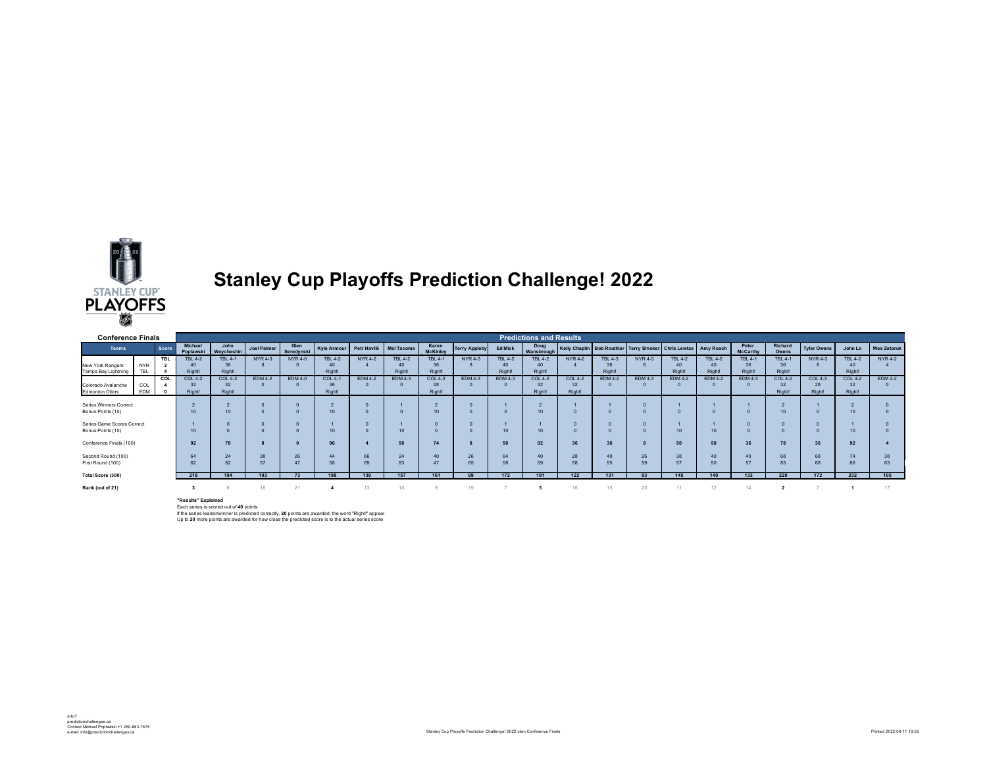

## **Stanley Cup Playoffs Prediction Challenge! 2022**

| <b>Conference Finals</b>                        |                          | <b>Predictions and Results</b> |                         |                          |                |                    |                               |                    |                               |                                       |                      |                                |                               |                |                         |                                                      |                         |                         |                               |                               |                    |                               |                    |
|-------------------------------------------------|--------------------------|--------------------------------|-------------------------|--------------------------|----------------|--------------------|-------------------------------|--------------------|-------------------------------|---------------------------------------|----------------------|--------------------------------|-------------------------------|----------------|-------------------------|------------------------------------------------------|-------------------------|-------------------------|-------------------------------|-------------------------------|--------------------|-------------------------------|--------------------|
| <b>Teams</b>                                    |                          | Score                          | Michael<br>Poplawski    | John<br>Woycheshin       | Joel Palmer    | Glen<br>Seredynski | Kyle Armour                   | <b>Petr Havlik</b> | Mel Tacoma                    | Karen<br><b>McKinley</b>              | <b>Terry Appleby</b> | <b>Ed Mick</b>                 | Doug<br>Wansbrough            |                |                         | Kelly Chaplin Bob Routhier Terry Smoker Chris Lewtas |                         | Amy Roach               | Peter<br><b>McCarthy</b>      | Richard<br>Owens              | <b>Tyler Owens</b> | John Lo                       | <b>Wes Zetaruk</b> |
| New York Rangers<br>Tampa Bay Lightning         | <b>NYR</b><br><b>TBL</b> | <b>TBL</b>                     | <b>TBL 4-2</b><br>Right | <b>TBL 4-1</b><br>Right! | <b>NYR 4-3</b> | <b>NYR 4-0</b>     | <b>TBL 4-2</b><br>40<br>Right | <b>NYR 4-2</b>     | <b>TBL 4-2</b><br>40<br>Right | <b>TBL 4-1</b><br>36<br><b>Right!</b> | <b>NYR4-3</b>        | <b>TBL 4-2</b><br>40<br>Right! | <b>TBL 4-2</b><br>40<br>Right | <b>NYR4-2</b>  | <b>TBL 4-3</b><br>Right | <b>NYR 4-3</b>                                       | <b>TBL 4-2</b><br>Right | <b>TBL 4-2</b><br>Right | <b>TBL 4-1</b><br>36<br>Right | <b>TBL 4-1</b><br>36<br>Right | <b>NYR4-3</b>      | <b>TBL 4-2</b><br>40<br>Right | <b>NYR 4-2</b>     |
|                                                 |                          | COL                            | <b>COL 4-2</b>          | <b>COL 4-2</b>           | <b>EDM 4-2</b> | <b>EDM 4-0</b>     | <b>COL 4-1</b>                | <b>EDM 4-2</b>     | EDM 4-3                       | <b>COL 4-3</b>                        | <b>EDM 4-3</b>       | <b>EDM 4-3</b>                 | <b>COL 4-2</b>                | <b>COL 4-2</b> | <b>EDM 4-2</b>          | <b>EDM 4-3</b>                                       | <b>EDM 4-2</b>          | <b>EDM 4-2</b>          | <b>EDM 4-3</b>                | <b>COL 4-2</b>                | <b>COL 4-3</b>     | <b>COL 4-2</b>                | <b>EDM 4-2</b>     |
| Colorado Avalanche<br><b>Edmonton Oilers</b>    | COL<br>EDM               |                                | 32<br><b>Right!</b>     | 32<br>Right!             |                |                    | 36<br>Right                   |                    |                               | 28<br><b>Right!</b>                   |                      |                                | 32<br><b>Right</b>            | 32<br>Right    |                         |                                                      |                         |                         |                               | 32<br><b>Right!</b>           | 28<br>Right!       | 32<br>Right!                  |                    |
| Series Winners Correct<br>Bonus Points (10)     |                          |                                |                         | 10                       |                |                    | 10                            |                    |                               | 10                                    |                      |                                | 10                            |                |                         |                                                      |                         |                         |                               | 10                            |                    | 10                            |                    |
| Series Game Scores Correct<br>Bonus Points (10) |                          |                                |                         |                          |                | 10                 |                               | 10                 |                               |                                       | 10 <sup>10</sup>     | 10                             |                               |                |                         | 10                                                   |                         |                         |                               |                               | 10                 |                               |                    |
| Conference Finals (100)                         |                          |                                | 92                      | 78                       |                |                    | 96                            |                    | 50                            | 74                                    |                      | 50                             | 92                            |                | 36                      |                                                      | 50                      | 50                      | 36                            | 78                            | 36                 | 92                            |                    |
| Second Round (100)<br>First Round (100)         |                          | 64<br>62                       | 24                      | 38<br>57                 | 26             | 44<br>58           | 66<br>69                      | 24<br>83           | 40<br>47                      | 26<br>65                              | 64<br>58             | 40<br>59                       | 28<br>58                      | 40<br>55       | 26<br>59                | 38<br>57                                             | 40<br>50                | 40<br>57                | 68<br>83                      | 68<br>68                      | 74<br>66           | 38                            |                    |
| Total Score (300)                               |                          |                                | 218                     | 184                      | 103            | 73                 | 198                           | 139                | 157                           | 161                                   | 99                   | 172                            | 191                           | 122            | 131                     | 93                                                   | 145                     | 140                     | 133                           | 229                           | 172                | 232                           | 105                |
| Rank (out of 21)                                |                          |                                |                         | 18                       | 21             |                    |                               |                    |                               | 19                                    |                      |                                | 16                            |                |                         |                                                      |                         | 14                      |                               |                               |                    |                               |                    |

**"Results" Explained**<br>Each series is scored out of **40** points<br>If the series leader/winner is predicted correctly, **20** points are awarded, the word "Right!" appear<br>Up to **20** more points are awarded for how close the pred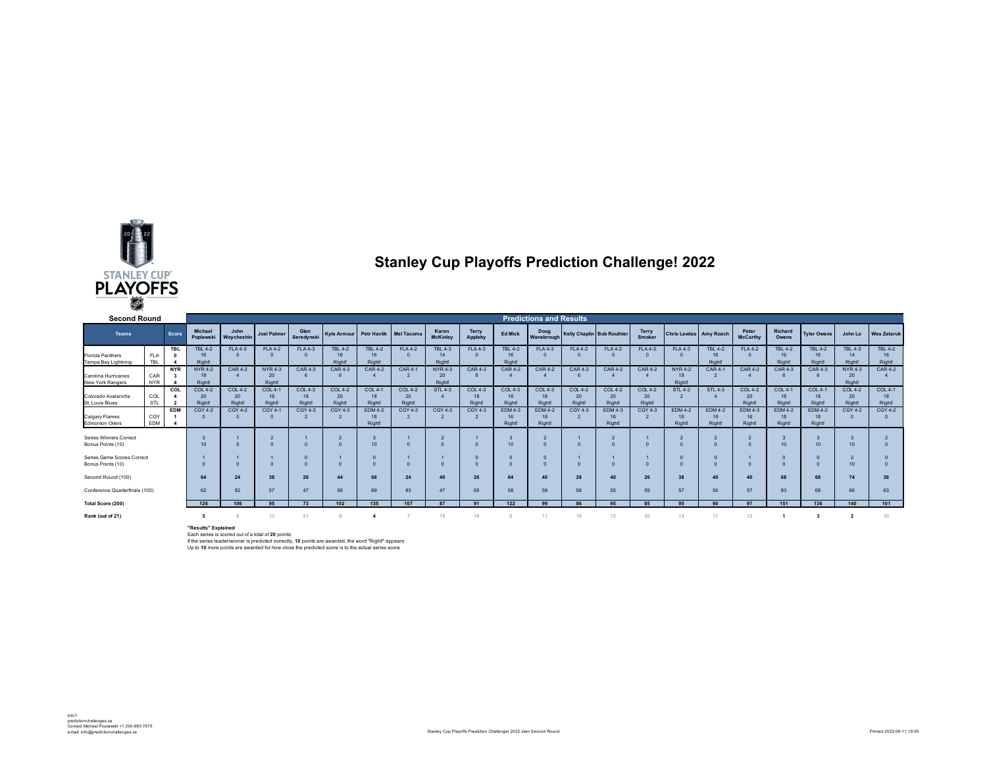

## **Stanley Cup Playoffs Prediction Challenge! 2022**

| <b>Second Round</b>                             |                          |            |                                |                                |                              |                                       |                                    |                                       |                                |                                       |                                |                                            | <b>Predictions and Results</b>        |                                       |                                       |                                       |                                       |                                       |                                       |                                 |                                              |                                       |                                |
|-------------------------------------------------|--------------------------|------------|--------------------------------|--------------------------------|------------------------------|---------------------------------------|------------------------------------|---------------------------------------|--------------------------------|---------------------------------------|--------------------------------|--------------------------------------------|---------------------------------------|---------------------------------------|---------------------------------------|---------------------------------------|---------------------------------------|---------------------------------------|---------------------------------------|---------------------------------|----------------------------------------------|---------------------------------------|--------------------------------|
| <b>Teams</b>                                    |                          | Score      | Michael<br>Poplawski           | John<br>Woycheshin             | <b>Joel Palmer</b>           | Glen<br>Seredynski                    | Kyle Armour Petr Haylik Mel Tacoma |                                       |                                | Karen<br><b>McKinley</b>              | <b>Terry</b><br>Appleby        | <b>Ed Mick</b>                             | Doug<br>Wansbrough                    | <b>Kelly Chaplin Bob Routhier</b>     |                                       | Terry<br>Smoker                       | <b>Chris Lewtas</b> Amy Roach         |                                       | Peter<br><b>McCarthy</b>              | Richard<br>Owens                | <b>Tyler Owens</b>                           | John Lo                               | <b>Wes Zetaruk</b>             |
| <b>Florida Panthers</b><br>Tampa Bay Lightning  | <b>FLA</b><br><b>TBL</b> | <b>TBL</b> | <b>TBL 4-2</b><br>16<br>Right! | <b>FLA4-3</b><br>$\Omega$      | <b>FLA 4-2</b>               | <b>FLA 4-3</b>                        | <b>TBL 4-2</b><br>16<br>Right!     | <b>TBL 4-2</b><br>16<br>Right!        | <b>FLA4-2</b>                  | <b>TBL 4-3</b><br>14<br><b>Right!</b> | <b>FLA4-3</b>                  | <b>TBL 4-2</b><br>16<br>Right <sup>1</sup> | <b>FLA4-3</b>                         | <b>FLA4-2</b><br>$\Omega$             | <b>FLA 4-2</b>                        | <b>FLA4-3</b>                         | <b>FLA 4-3</b>                        | <b>TBL 4-2</b><br>16<br>Right!        | <b>FLA4-2</b>                         | <b>TBL 4-2</b><br>Right         | <b>TBL 4-2</b><br>16 <sup>16</sup><br>Right! | <b>TBL 4-3</b><br>14<br>Right!        | <b>TBL 4-2</b><br>16<br>Right! |
| Carolina Hurricanes<br><b>New York Rangers</b>  | CAR<br><b>NYR</b>        | <b>NYR</b> | <b>NYR 4-2</b><br>18<br>Right! | <b>CAR4-2</b>                  | <b>NYR4-3</b><br>20<br>Right | <b>CAR 4-3</b>                        | <b>CAR 4-3</b>                     | <b>CAR 4-2</b>                        | <b>CAR 4-1</b>                 | <b>NYR 4-3</b><br>20<br>Right         | <b>CAR 4-3</b>                 | <b>CAR 4-2</b>                             | <b>CAR4-2</b>                         | <b>CAR4-3</b>                         | <b>CAR 4-2</b>                        | <b>CAR 4-2</b>                        | <b>NYR 4-2</b><br>18<br>Right         | <b>CAR 4-1</b>                        | <b>CAR 4-2</b>                        | <b>CAR4-3</b>                   | <b>CAR4-3</b>                                | <b>NYR4-3</b><br>20<br><b>Right!</b>  | <b>CAR 4-2</b>                 |
| Colorado Avalanche<br>St. Louis Blues           | COL<br>STL               | COL        | <b>COL 4-2</b><br>20<br>Right  | <b>COL 4-2</b><br>20<br>Right! | $COL 4-$<br>18<br>Right      | <b>COL 4-3</b><br>18<br><b>Right!</b> | <b>COL 4-2</b><br>20<br>Right      | <b>COL 4-1</b><br>18<br><b>Right!</b> | <b>COL 4-2</b><br>20<br>Right! | <b>STL 4-3</b>                        | <b>COL 4-3</b><br>18<br>Right! | <b>COL 4-3</b><br>18<br>Right              | <b>COL 4-3</b><br>18<br>Right!        | <b>COL 4-2</b><br>20<br><b>Right!</b> | <b>COL 4-2</b><br>20<br><b>Right!</b> | <b>COL 4-2</b><br>20<br><b>Right!</b> | <b>STL 4-2</b>                        | <b>STL 4-3</b>                        | <b>COL 4-2</b><br>20<br>Right         | $COL 4-$<br>18<br>Right         | <b>COL 4-1</b><br>18<br><b>Right!</b>        | <b>COL 4-2</b><br>20<br><b>Right!</b> | <b>COL 4-1</b><br>18<br>Right! |
| Calgary Flames<br><b>Edmonton Oilers</b>        | CGY<br>EDM               | <b>EDM</b> | <b>CGY 4-2</b>                 | <b>CGY 4-2</b>                 | CGY 4-1                      | <b>CGY 4-3</b>                        | <b>CGY 4-3</b>                     | <b>EDM 4-2</b><br>18<br>Right!        | <b>CGY 4-3</b>                 | <b>CGY 4-3</b>                        | CGY 4-3                        | <b>EDM4-3</b><br>16<br><b>Right!</b>       | <b>EDM 4-2</b><br>18<br><b>Right!</b> | <b>CGY 4-3</b>                        | <b>EDM 4-3</b><br>16<br><b>Right!</b> | <b>CGY 4-3</b>                        | <b>EDM 4-2</b><br>18<br><b>Right!</b> | <b>EDM 4-2</b><br>18<br><b>Right!</b> | <b>EDM 4-3</b><br>16<br><b>Right!</b> | <b>EDM 4-2</b><br><b>Right!</b> | <b>EDM 4-2</b><br>18<br>Right!               | <b>CGY 4-2</b>                        | <b>CGY 4-2</b>                 |
| Series Winners Correct<br>Bonus Points (10)     |                          |            | 10                             |                                |                              |                                       |                                    | 10                                    |                                |                                       |                                | 10 <sub>1</sub>                            | $\Omega$                              |                                       |                                       |                                       |                                       |                                       |                                       | 10                              | 10                                           | 10                                    |                                |
| Series Game Scores Correct<br>Bonus Points (10) |                          |            |                                |                                |                              |                                       |                                    | $\Omega$                              |                                |                                       |                                |                                            |                                       |                                       |                                       |                                       |                                       |                                       |                                       |                                 |                                              | 10                                    |                                |
| Second Round (100)                              |                          |            | 64                             | 24                             | 38                           | 26                                    | 44                                 | 66                                    | 24                             | 40                                    | 26                             | 64                                         | 40                                    | 28                                    | 40                                    | 26                                    | 38                                    | 40                                    |                                       | 68                              | 68                                           | 74                                    | 38                             |
| Conference Quarterfinals (100)                  |                          |            | 62                             | 82                             | 57                           | 47                                    | 58                                 | 69                                    | 83                             | 47                                    | 65                             | 58                                         | 59                                    | 58                                    | 55                                    | 59                                    | 57                                    | 50                                    | 57<br>07                              | 83                              | 68                                           | 66                                    | 63                             |
| Total Score (200)<br>Rank (out of 21)           |                          | 126        | 106                            | 95<br>13                       | 73<br>21                     | 102                                   | 135                                | 107                                   | R7<br>18                       | Q <sub>1</sub><br>16                  | 122                            | qa<br>11                                   | 86<br>19                              | 95<br>13                              | 85<br>20                              | 95<br>13                              | 90 <sub>0</sub><br>17                 | 12                                    | 151                                   | 136                             | 140                                          | 101                                   |                                |

"**Results" Explained**<br>Each series is scored out of a total of **20** points:<br>If the series leader/winner is predicted correctly, 10 points are awarded, the word "Right!" appears<br>Up to 10 more points are awarded for how close